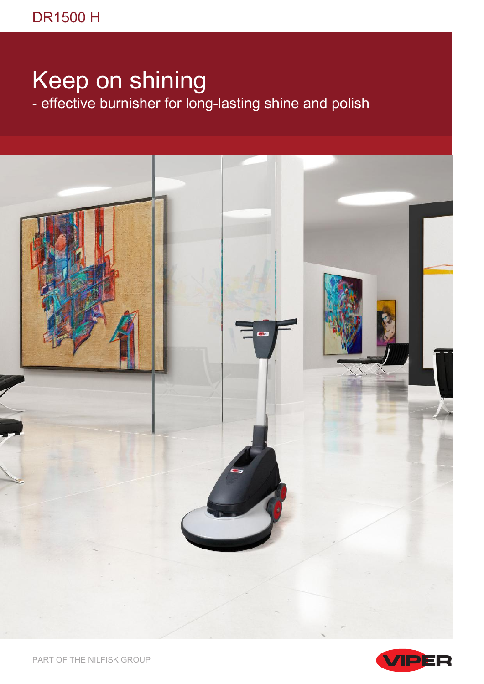## Keep on shining

- effective burnisher for long-lasting shine and polish





PART OF THE NILFISK GROUP